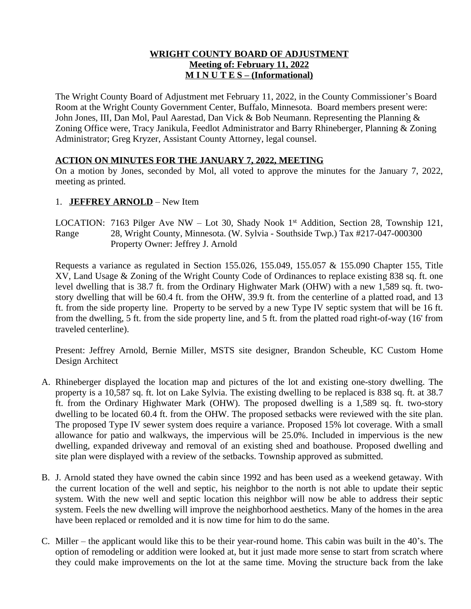## **WRIGHT COUNTY BOARD OF ADJUSTMENT Meeting of: February 11, 2022 M I N U T E S – (Informational)**

The Wright County Board of Adjustment met February 11, 2022, in the County Commissioner's Board Room at the Wright County Government Center, Buffalo, Minnesota. Board members present were: John Jones, III, Dan Mol, Paul Aarestad, Dan Vick & Bob Neumann. Representing the Planning & Zoning Office were, Tracy Janikula, Feedlot Administrator and Barry Rhineberger, Planning & Zoning Administrator; Greg Kryzer, Assistant County Attorney, legal counsel.

# **ACTION ON MINUTES FOR THE JANUARY 7, 2022, MEETING**

On a motion by Jones, seconded by Mol, all voted to approve the minutes for the January 7, 2022, meeting as printed.

### 1. **JEFFREY ARNOLD** – New Item

LOCATION: 7163 Pilger Ave NW - Lot 30, Shady Nook 1<sup>st</sup> Addition, Section 28, Township 121, Range 28, Wright County, Minnesota. (W. Sylvia - Southside Twp.) Tax #217-047-000300 Property Owner: Jeffrey J. Arnold

Requests a variance as regulated in Section 155.026, 155.049, 155.057 & 155.090 Chapter 155, Title XV, Land Usage & Zoning of the Wright County Code of Ordinances to replace existing 838 sq. ft. one level dwelling that is 38.7 ft. from the Ordinary Highwater Mark (OHW) with a new 1,589 sq. ft. twostory dwelling that will be 60.4 ft. from the OHW, 39.9 ft. from the centerline of a platted road, and 13 ft. from the side property line. Property to be served by a new Type IV septic system that will be 16 ft. from the dwelling, 5 ft. from the side property line, and 5 ft. from the platted road right-of-way (16' from traveled centerline).

Present: Jeffrey Arnold, Bernie Miller, MSTS site designer, Brandon Scheuble, KC Custom Home Design Architect

- A. Rhineberger displayed the location map and pictures of the lot and existing one-story dwelling. The property is a 10,587 sq. ft. lot on Lake Sylvia. The existing dwelling to be replaced is 838 sq. ft. at 38.7 ft. from the Ordinary Highwater Mark (OHW). The proposed dwelling is a 1,589 sq. ft. two-story dwelling to be located 60.4 ft. from the OHW. The proposed setbacks were reviewed with the site plan. The proposed Type IV sewer system does require a variance. Proposed 15% lot coverage. With a small allowance for patio and walkways, the impervious will be 25.0%. Included in impervious is the new dwelling, expanded driveway and removal of an existing shed and boathouse. Proposed dwelling and site plan were displayed with a review of the setbacks. Township approved as submitted.
- B. J. Arnold stated they have owned the cabin since 1992 and has been used as a weekend getaway. With the current location of the well and septic, his neighbor to the north is not able to update their septic system. With the new well and septic location this neighbor will now be able to address their septic system. Feels the new dwelling will improve the neighborhood aesthetics. Many of the homes in the area have been replaced or remolded and it is now time for him to do the same.
- C. Miller the applicant would like this to be their year-round home. This cabin was built in the 40's. The option of remodeling or addition were looked at, but it just made more sense to start from scratch where they could make improvements on the lot at the same time. Moving the structure back from the lake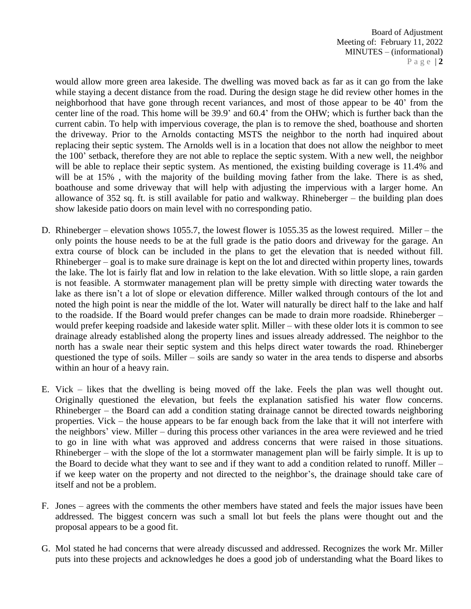would allow more green area lakeside. The dwelling was moved back as far as it can go from the lake while staying a decent distance from the road. During the design stage he did review other homes in the neighborhood that have gone through recent variances, and most of those appear to be 40' from the center line of the road. This home will be 39.9' and 60.4' from the OHW; which is further back than the current cabin. To help with impervious coverage, the plan is to remove the shed, boathouse and shorten the driveway. Prior to the Arnolds contacting MSTS the neighbor to the north had inquired about replacing their septic system. The Arnolds well is in a location that does not allow the neighbor to meet the 100' setback, therefore they are not able to replace the septic system. With a new well, the neighbor will be able to replace their septic system. As mentioned, the existing building coverage is 11.4% and will be at 15%, with the majority of the building moving father from the lake. There is as shed, boathouse and some driveway that will help with adjusting the impervious with a larger home. An allowance of 352 sq. ft. is still available for patio and walkway. Rhineberger – the building plan does show lakeside patio doors on main level with no corresponding patio.

- D. Rhineberger elevation shows 1055.7, the lowest flower is 1055.35 as the lowest required. Miller the only points the house needs to be at the full grade is the patio doors and driveway for the garage. An extra course of block can be included in the plans to get the elevation that is needed without fill. Rhineberger – goal is to make sure drainage is kept on the lot and directed within property lines, towards the lake. The lot is fairly flat and low in relation to the lake elevation. With so little slope, a rain garden is not feasible. A stormwater management plan will be pretty simple with directing water towards the lake as there isn't a lot of slope or elevation difference. Miller walked through contours of the lot and noted the high point is near the middle of the lot. Water will naturally be direct half to the lake and half to the roadside. If the Board would prefer changes can be made to drain more roadside. Rhineberger – would prefer keeping roadside and lakeside water split. Miller – with these older lots it is common to see drainage already established along the property lines and issues already addressed. The neighbor to the north has a swale near their septic system and this helps direct water towards the road. Rhineberger questioned the type of soils. Miller – soils are sandy so water in the area tends to disperse and absorbs within an hour of a heavy rain.
- E. Vick likes that the dwelling is being moved off the lake. Feels the plan was well thought out. Originally questioned the elevation, but feels the explanation satisfied his water flow concerns. Rhineberger – the Board can add a condition stating drainage cannot be directed towards neighboring properties. Vick – the house appears to be far enough back from the lake that it will not interfere with the neighbors' view. Miller – during this process other variances in the area were reviewed and he tried to go in line with what was approved and address concerns that were raised in those situations. Rhineberger – with the slope of the lot a stormwater management plan will be fairly simple. It is up to the Board to decide what they want to see and if they want to add a condition related to runoff. Miller – if we keep water on the property and not directed to the neighbor's, the drainage should take care of itself and not be a problem.
- F. Jones agrees with the comments the other members have stated and feels the major issues have been addressed. The biggest concern was such a small lot but feels the plans were thought out and the proposal appears to be a good fit.
- G. Mol stated he had concerns that were already discussed and addressed. Recognizes the work Mr. Miller puts into these projects and acknowledges he does a good job of understanding what the Board likes to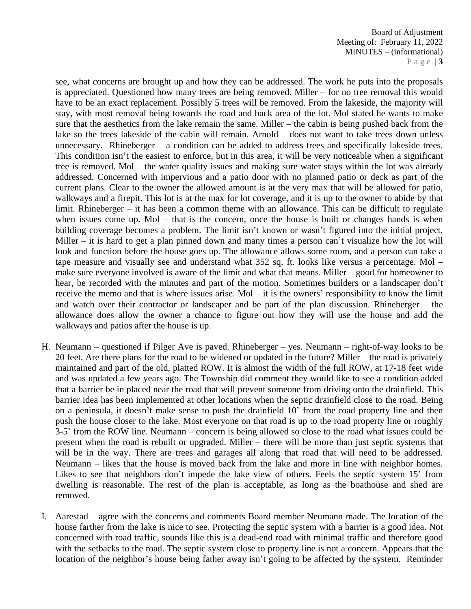see, what concerns are brought up and how they can be addressed. The work he puts into the proposals is appreciated. Questioned how many trees are being removed. Miller – for no tree removal this would have to be an exact replacement. Possibly 5 trees will be removed. From the lakeside, the majority will stay, with most removal being towards the road and back area of the lot. Mol stated he wants to make sure that the aesthetics from the lake remain the same. Miller – the cabin is being pushed back from the lake so the trees lakeside of the cabin will remain. Arnold – does not want to take trees down unless unnecessary. Rhineberger – a condition can be added to address trees and specifically lakeside trees. This condition isn't the easiest to enforce, but in this area, it will be very noticeable when a significant tree is removed. Mol – the water quality issues and making sure water stays within the lot was already addressed. Concerned with impervious and a patio door with no planned patio or deck as part of the current plans. Clear to the owner the allowed amount is at the very max that will be allowed for patio, walkways and a firepit. This lot is at the max for lot coverage, and it is up to the owner to abide by that limit. Rhineberger – it has been a common theme with an allowance. This can be difficult to regulate when issues come up. Mol – that is the concern, once the house is built or changes hands is when building coverage becomes a problem. The limit isn't known or wasn't figured into the initial project. Miller – it is hard to get a plan pinned down and many times a person can't visualize how the lot will look and function before the house goes up. The allowance allows some room, and a person can take a tape measure and visually see and understand what 352 sq. ft. looks like versus a percentage. Mol – make sure everyone involved is aware of the limit and what that means. Miller – good for homeowner to hear, be recorded with the minutes and part of the motion. Sometimes builders or a landscaper don't receive the memo and that is where issues arise.  $Mol - it$  is the owners' responsibility to know the limit and watch over their contractor or landscaper and be part of the plan discussion. Rhineberger – the allowance does allow the owner a chance to figure out how they will use the house and add the walkways and patios after the house is up.

- H. Neumann questioned if Pilger Ave is paved. Rhineberger yes. Neumann right-of-way looks to be 20 feet. Are there plans for the road to be widened or updated in the future? Miller – the road is privately maintained and part of the old, platted ROW. It is almost the width of the full ROW, at 17-18 feet wide and was updated a few years ago. The Township did comment they would like to see a condition added that a barrier be in placed near the road that will prevent someone from driving onto the drainfield. This barrier idea has been implemented at other locations when the septic drainfield close to the road. Being on a peninsula, it doesn't make sense to push the drainfield 10' from the road property line and then push the house closer to the lake. Most everyone on that road is up to the road property line or roughly 3-5' from the ROW line. Neumann – concern is being allowed so close to the road what issues could be present when the road is rebuilt or upgraded. Miller – there will be more than just septic systems that will be in the way. There are trees and garages all along that road that will need to be addressed. Neumann – likes that the house is moved back from the lake and more in line with neighbor homes. Likes to see that neighbors don't impede the lake view of others. Feels the septic system 15' from dwelling is reasonable. The rest of the plan is acceptable, as long as the boathouse and shed are removed.
- I. Aarestad agree with the concerns and comments Board member Neumann made. The location of the house farther from the lake is nice to see. Protecting the septic system with a barrier is a good idea. Not concerned with road traffic, sounds like this is a dead-end road with minimal traffic and therefore good with the setbacks to the road. The septic system close to property line is not a concern. Appears that the location of the neighbor's house being father away isn't going to be affected by the system. Reminder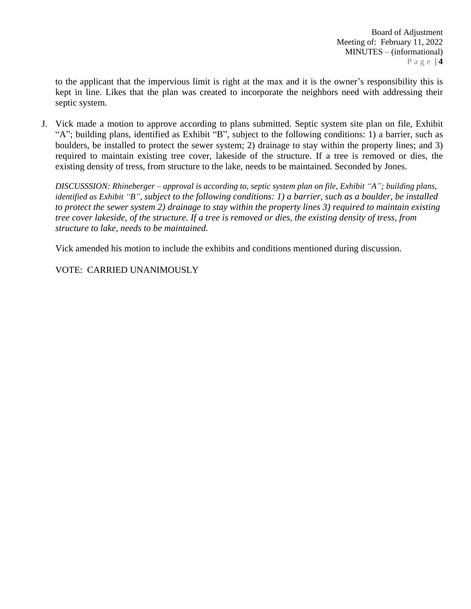to the applicant that the impervious limit is right at the max and it is the owner's responsibility this is kept in line. Likes that the plan was created to incorporate the neighbors need with addressing their septic system.

J. Vick made a motion to approve according to plans submitted. Septic system site plan on file, Exhibit "A"; building plans, identified as Exhibit "B", subject to the following conditions: 1) a barrier, such as boulders, be installed to protect the sewer system; 2) drainage to stay within the property lines; and 3) required to maintain existing tree cover, lakeside of the structure. If a tree is removed or dies, the existing density of tress, from structure to the lake, needs to be maintained*.* Seconded by Jones.

*DISCUSSSION: Rhineberger – approval is according to, septic system plan on file, Exhibit "A"; building plans, identified as Exhibit "B", subject to the following conditions: 1) a barrier, such as a boulder, be installed to protect the sewer system 2) drainage to stay within the property lines 3) required to maintain existing tree cover lakeside, of the structure. If a tree is removed or dies, the existing density of tress, from structure to lake, needs to be maintained.* 

Vick amended his motion to include the exhibits and conditions mentioned during discussion.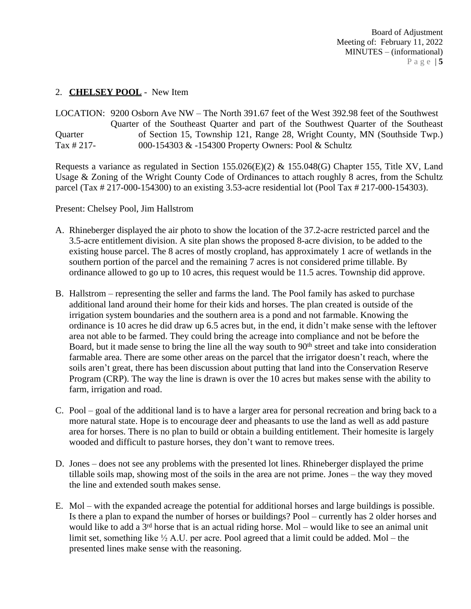## 2. **CHELSEY POOL** - New Item

LOCATION: 9200 Osborn Ave NW – The North 391.67 feet of the West 392.98 feet of the Southwest Quarter of the Southeast Quarter and part of the Southwest Quarter of the Southeast Quarter of Section 15, Township 121, Range 28, Wright County, MN (Southside Twp.) Tax # 217- 000-154303 & -154300 Property Owners: Pool & Schultz

Requests a variance as regulated in Section 155.026(E)(2) & 155.048(G) Chapter 155, Title XV, Land Usage & Zoning of the Wright County Code of Ordinances to attach roughly 8 acres, from the Schultz parcel (Tax # 217-000-154300) to an existing 3.53-acre residential lot (Pool Tax # 217-000-154303).

Present: Chelsey Pool, Jim Hallstrom

- A. Rhineberger displayed the air photo to show the location of the 37.2-acre restricted parcel and the 3.5-acre entitlement division. A site plan shows the proposed 8-acre division, to be added to the existing house parcel. The 8 acres of mostly cropland, has approximately 1 acre of wetlands in the southern portion of the parcel and the remaining 7 acres is not considered prime tillable. By ordinance allowed to go up to 10 acres, this request would be 11.5 acres. Township did approve.
- B. Hallstrom representing the seller and farms the land. The Pool family has asked to purchase additional land around their home for their kids and horses. The plan created is outside of the irrigation system boundaries and the southern area is a pond and not farmable. Knowing the ordinance is 10 acres he did draw up 6.5 acres but, in the end, it didn't make sense with the leftover area not able to be farmed. They could bring the acreage into compliance and not be before the Board, but it made sense to bring the line all the way south to 90<sup>th</sup> street and take into consideration farmable area. There are some other areas on the parcel that the irrigator doesn't reach, where the soils aren't great, there has been discussion about putting that land into the Conservation Reserve Program (CRP). The way the line is drawn is over the 10 acres but makes sense with the ability to farm, irrigation and road.
- C. Pool goal of the additional land is to have a larger area for personal recreation and bring back to a more natural state. Hope is to encourage deer and pheasants to use the land as well as add pasture area for horses. There is no plan to build or obtain a building entitlement. Their homesite is largely wooded and difficult to pasture horses, they don't want to remove trees.
- D. Jones does not see any problems with the presented lot lines. Rhineberger displayed the prime tillable soils map, showing most of the soils in the area are not prime. Jones – the way they moved the line and extended south makes sense.
- E. Mol with the expanded acreage the potential for additional horses and large buildings is possible. Is there a plan to expand the number of horses or buildings? Pool – currently has 2 older horses and would like to add a  $3<sup>rd</sup>$  horse that is an actual riding horse. Mol – would like to see an animal unit limit set, something like  $\frac{1}{2}$  A.U. per acre. Pool agreed that a limit could be added. Mol – the presented lines make sense with the reasoning.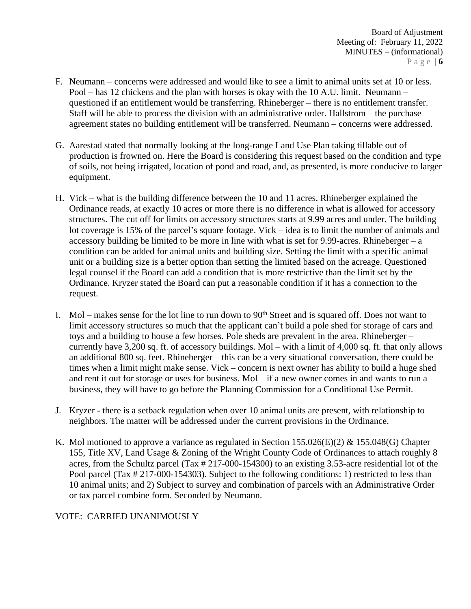- F. Neumann concerns were addressed and would like to see a limit to animal units set at 10 or less. Pool – has 12 chickens and the plan with horses is okay with the 10 A.U. limit. Neumann – questioned if an entitlement would be transferring. Rhineberger – there is no entitlement transfer. Staff will be able to process the division with an administrative order. Hallstrom – the purchase agreement states no building entitlement will be transferred. Neumann – concerns were addressed.
- G. Aarestad stated that normally looking at the long-range Land Use Plan taking tillable out of production is frowned on. Here the Board is considering this request based on the condition and type of soils, not being irrigated, location of pond and road, and, as presented, is more conducive to larger equipment.
- H. Vick what is the building difference between the 10 and 11 acres. Rhineberger explained the Ordinance reads, at exactly 10 acres or more there is no difference in what is allowed for accessory structures. The cut off for limits on accessory structures starts at 9.99 acres and under. The building lot coverage is 15% of the parcel's square footage. Vick – idea is to limit the number of animals and accessory building be limited to be more in line with what is set for 9.99-acres. Rhineberger – a condition can be added for animal units and building size. Setting the limit with a specific animal unit or a building size is a better option than setting the limited based on the acreage. Questioned legal counsel if the Board can add a condition that is more restrictive than the limit set by the Ordinance. Kryzer stated the Board can put a reasonable condition if it has a connection to the request.
- I. Mol makes sense for the lot line to run down to  $90<sup>th</sup>$  Street and is squared off. Does not want to limit accessory structures so much that the applicant can't build a pole shed for storage of cars and toys and a building to house a few horses. Pole sheds are prevalent in the area. Rhineberger – currently have 3,200 sq. ft. of accessory buildings. Mol – with a limit of 4,000 sq. ft. that only allows an additional 800 sq. feet. Rhineberger – this can be a very situational conversation, there could be times when a limit might make sense. Vick – concern is next owner has ability to build a huge shed and rent it out for storage or uses for business. Mol – if a new owner comes in and wants to run a business, they will have to go before the Planning Commission for a Conditional Use Permit.
- J. Kryzer there is a setback regulation when over 10 animal units are present, with relationship to neighbors. The matter will be addressed under the current provisions in the Ordinance.
- K. Mol motioned to approve a variance as regulated in Section 155.026(E)(2) & 155.048(G) Chapter 155, Title XV, Land Usage & Zoning of the Wright County Code of Ordinances to attach roughly 8 acres, from the Schultz parcel (Tax # 217-000-154300) to an existing 3.53-acre residential lot of the Pool parcel (Tax # 217-000-154303). Subject to the following conditions: 1) restricted to less than 10 animal units; and 2) Subject to survey and combination of parcels with an Administrative Order or tax parcel combine form. Seconded by Neumann.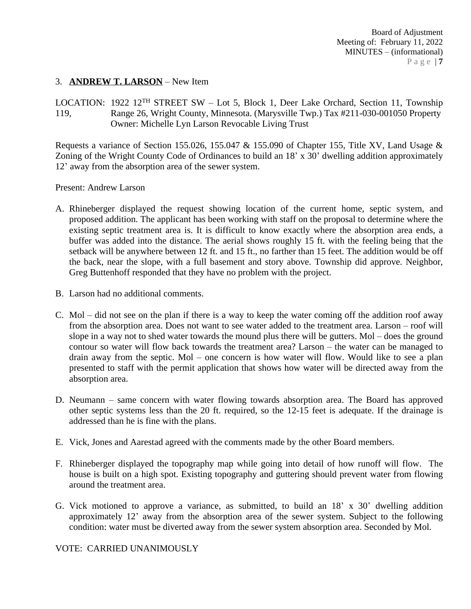## 3. **ANDREW T. LARSON** – New Item

LOCATION: 1922 12<sup>TH</sup> STREET SW – Lot 5, Block 1, Deer Lake Orchard, Section 11, Township 119, Range 26, Wright County, Minnesota. (Marysville Twp.) Tax #211-030-001050 Property Owner: Michelle Lyn Larson Revocable Living Trust

Requests a variance of Section 155.026, 155.047 & 155.090 of Chapter 155, Title XV, Land Usage & Zoning of the Wright County Code of Ordinances to build an 18' x 30' dwelling addition approximately 12' away from the absorption area of the sewer system.

Present: Andrew Larson

- A. Rhineberger displayed the request showing location of the current home, septic system, and proposed addition. The applicant has been working with staff on the proposal to determine where the existing septic treatment area is. It is difficult to know exactly where the absorption area ends, a buffer was added into the distance. The aerial shows roughly 15 ft. with the feeling being that the setback will be anywhere between 12 ft. and 15 ft., no farther than 15 feet. The addition would be off the back, near the slope, with a full basement and story above. Township did approve. Neighbor, Greg Buttenhoff responded that they have no problem with the project.
- B. Larson had no additional comments.
- C. Mol did not see on the plan if there is a way to keep the water coming off the addition roof away from the absorption area. Does not want to see water added to the treatment area. Larson – roof will slope in a way not to shed water towards the mound plus there will be gutters. Mol – does the ground contour so water will flow back towards the treatment area? Larson – the water can be managed to drain away from the septic. Mol – one concern is how water will flow. Would like to see a plan presented to staff with the permit application that shows how water will be directed away from the absorption area.
- D. Neumann same concern with water flowing towards absorption area. The Board has approved other septic systems less than the 20 ft. required, so the 12-15 feet is adequate. If the drainage is addressed than he is fine with the plans.
- E. Vick, Jones and Aarestad agreed with the comments made by the other Board members.
- F. Rhineberger displayed the topography map while going into detail of how runoff will flow. The house is built on a high spot. Existing topography and guttering should prevent water from flowing around the treatment area.
- G. Vick motioned to approve a variance, as submitted, to build an 18' x 30' dwelling addition approximately 12' away from the absorption area of the sewer system. Subject to the following condition: water must be diverted away from the sewer system absorption area. Seconded by Mol.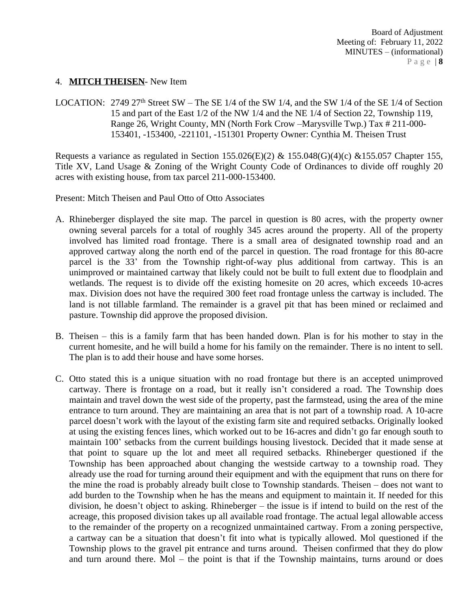#### 4. **MITCH THEISEN**- New Item

LOCATION: 2749 27<sup>th</sup> Street SW – The SE 1/4 of the SW 1/4, and the SW 1/4 of the SE 1/4 of Section 15 and part of the East 1/2 of the NW 1/4 and the NE 1/4 of Section 22, Township 119, Range 26, Wright County, MN (North Fork Crow –Marysville Twp.) Tax # 211-000- 153401, -153400, -221101, -151301 Property Owner: Cynthia M. Theisen Trust

Requests a variance as regulated in Section 155.026(E)(2) & 155.048(G)(4)(c) & 155.057 Chapter 155, Title XV, Land Usage & Zoning of the Wright County Code of Ordinances to divide off roughly 20 acres with existing house, from tax parcel 211-000-153400.

Present: Mitch Theisen and Paul Otto of Otto Associates

- A. Rhineberger displayed the site map. The parcel in question is 80 acres, with the property owner owning several parcels for a total of roughly 345 acres around the property. All of the property involved has limited road frontage. There is a small area of designated township road and an approved cartway along the north end of the parcel in question. The road frontage for this 80-acre parcel is the 33' from the Township right-of-way plus additional from cartway. This is an unimproved or maintained cartway that likely could not be built to full extent due to floodplain and wetlands. The request is to divide off the existing homesite on 20 acres, which exceeds 10-acres max. Division does not have the required 300 feet road frontage unless the cartway is included. The land is not tillable farmland. The remainder is a gravel pit that has been mined or reclaimed and pasture. Township did approve the proposed division.
- B. Theisen this is a family farm that has been handed down. Plan is for his mother to stay in the current homesite, and he will build a home for his family on the remainder. There is no intent to sell. The plan is to add their house and have some horses.
- C. Otto stated this is a unique situation with no road frontage but there is an accepted unimproved cartway. There is frontage on a road, but it really isn't considered a road. The Township does maintain and travel down the west side of the property, past the farmstead, using the area of the mine entrance to turn around. They are maintaining an area that is not part of a township road. A 10-acre parcel doesn't work with the layout of the existing farm site and required setbacks. Originally looked at using the existing fences lines, which worked out to be 16-acres and didn't go far enough south to maintain 100' setbacks from the current buildings housing livestock. Decided that it made sense at that point to square up the lot and meet all required setbacks. Rhineberger questioned if the Township has been approached about changing the westside cartway to a township road. They already use the road for turning around their equipment and with the equipment that runs on there for the mine the road is probably already built close to Township standards. Theisen – does not want to add burden to the Township when he has the means and equipment to maintain it. If needed for this division, he doesn't object to asking. Rhineberger – the issue is if intend to build on the rest of the acreage, this proposed division takes up all available road frontage. The actual legal allowable access to the remainder of the property on a recognized unmaintained cartway. From a zoning perspective, a cartway can be a situation that doesn't fit into what is typically allowed. Mol questioned if the Township plows to the gravel pit entrance and turns around. Theisen confirmed that they do plow and turn around there. Mol – the point is that if the Township maintains, turns around or does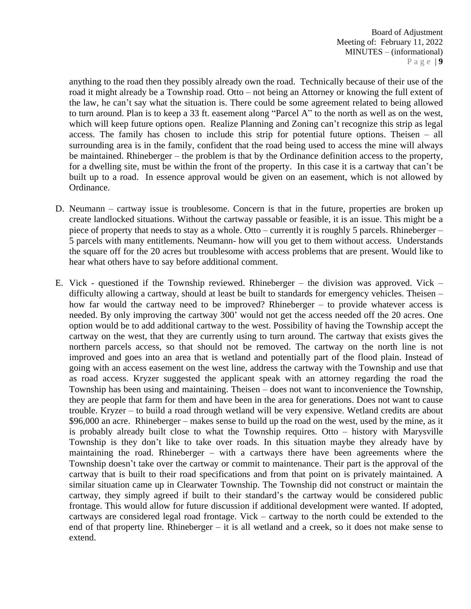anything to the road then they possibly already own the road. Technically because of their use of the road it might already be a Township road. Otto – not being an Attorney or knowing the full extent of the law, he can't say what the situation is. There could be some agreement related to being allowed to turn around. Plan is to keep a 33 ft. easement along "Parcel A" to the north as well as on the west, which will keep future options open. Realize Planning and Zoning can't recognize this strip as legal access. The family has chosen to include this strip for potential future options. Theisen – all surrounding area is in the family, confident that the road being used to access the mine will always be maintained. Rhineberger – the problem is that by the Ordinance definition access to the property, for a dwelling site, must be within the front of the property. In this case it is a cartway that can't be built up to a road. In essence approval would be given on an easement, which is not allowed by Ordinance.

- D. Neumann cartway issue is troublesome. Concern is that in the future, properties are broken up create landlocked situations. Without the cartway passable or feasible, it is an issue. This might be a piece of property that needs to stay as a whole. Otto – currently it is roughly 5 parcels. Rhineberger – 5 parcels with many entitlements. Neumann- how will you get to them without access. Understands the square off for the 20 acres but troublesome with access problems that are present. Would like to hear what others have to say before additional comment.
- E. Vick questioned if the Township reviewed. Rhineberger the division was approved. Vick difficulty allowing a cartway, should at least be built to standards for emergency vehicles. Theisen – how far would the cartway need to be improved? Rhineberger – to provide whatever access is needed. By only improving the cartway 300' would not get the access needed off the 20 acres. One option would be to add additional cartway to the west. Possibility of having the Township accept the cartway on the west, that they are currently using to turn around. The cartway that exists gives the northern parcels access, so that should not be removed. The cartway on the north line is not improved and goes into an area that is wetland and potentially part of the flood plain. Instead of going with an access easement on the west line, address the cartway with the Township and use that as road access. Kryzer suggested the applicant speak with an attorney regarding the road the Township has been using and maintaining. Theisen – does not want to inconvenience the Township, they are people that farm for them and have been in the area for generations. Does not want to cause trouble. Kryzer – to build a road through wetland will be very expensive. Wetland credits are about \$96,000 an acre. Rhineberger – makes sense to build up the road on the west, used by the mine, as it is probably already built close to what the Township requires. Otto – history with Marysville Township is they don't like to take over roads. In this situation maybe they already have by maintaining the road. Rhineberger – with a cartways there have been agreements where the Township doesn't take over the cartway or commit to maintenance. Their part is the approval of the cartway that is built to their road specifications and from that point on is privately maintained. A similar situation came up in Clearwater Township. The Township did not construct or maintain the cartway, they simply agreed if built to their standard's the cartway would be considered public frontage. This would allow for future discussion if additional development were wanted. If adopted, cartways are considered legal road frontage. Vick – cartway to the north could be extended to the end of that property line. Rhineberger – it is all wetland and a creek, so it does not make sense to extend.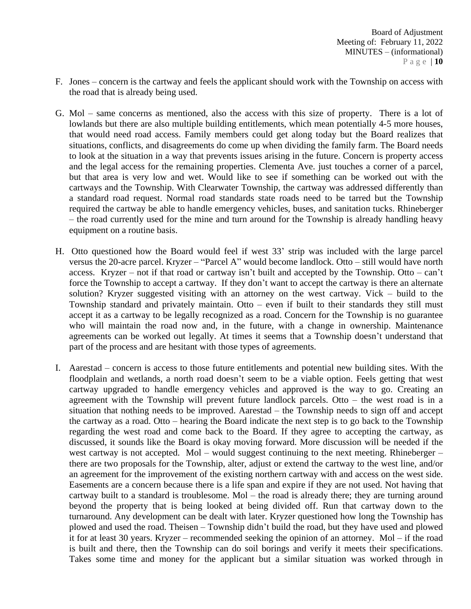- F. Jones concern is the cartway and feels the applicant should work with the Township on access with the road that is already being used.
- G. Mol same concerns as mentioned, also the access with this size of property. There is a lot of lowlands but there are also multiple building entitlements, which mean potentially 4-5 more houses, that would need road access. Family members could get along today but the Board realizes that situations, conflicts, and disagreements do come up when dividing the family farm. The Board needs to look at the situation in a way that prevents issues arising in the future. Concern is property access and the legal access for the remaining properties. Clementa Ave. just touches a corner of a parcel, but that area is very low and wet. Would like to see if something can be worked out with the cartways and the Township. With Clearwater Township, the cartway was addressed differently than a standard road request. Normal road standards state roads need to be tarred but the Township required the cartway be able to handle emergency vehicles, buses, and sanitation tucks. Rhineberger – the road currently used for the mine and turn around for the Township is already handling heavy equipment on a routine basis.
- H. Otto questioned how the Board would feel if west 33' strip was included with the large parcel versus the 20-acre parcel. Kryzer – "Parcel A" would become landlock. Otto – still would have north access. Kryzer – not if that road or cartway isn't built and accepted by the Township. Otto – can't force the Township to accept a cartway. If they don't want to accept the cartway is there an alternate solution? Kryzer suggested visiting with an attorney on the west cartway. Vick – build to the Township standard and privately maintain. Otto – even if built to their standards they still must accept it as a cartway to be legally recognized as a road. Concern for the Township is no guarantee who will maintain the road now and, in the future, with a change in ownership. Maintenance agreements can be worked out legally. At times it seems that a Township doesn't understand that part of the process and are hesitant with those types of agreements.
- I. Aarestad concern is access to those future entitlements and potential new building sites. With the floodplain and wetlands, a north road doesn't seem to be a viable option. Feels getting that west cartway upgraded to handle emergency vehicles and approved is the way to go. Creating an agreement with the Township will prevent future landlock parcels. Otto – the west road is in a situation that nothing needs to be improved. Aarestad – the Township needs to sign off and accept the cartway as a road. Otto – hearing the Board indicate the next step is to go back to the Township regarding the west road and come back to the Board. If they agree to accepting the cartway, as discussed, it sounds like the Board is okay moving forward. More discussion will be needed if the west cartway is not accepted. Mol – would suggest continuing to the next meeting. Rhineberger – there are two proposals for the Township, alter, adjust or extend the cartway to the west line, and/or an agreement for the improvement of the existing northern cartway with and access on the west side. Easements are a concern because there is a life span and expire if they are not used. Not having that cartway built to a standard is troublesome. Mol – the road is already there; they are turning around beyond the property that is being looked at being divided off. Run that cartway down to the turnaround. Any development can be dealt with later. Kryzer questioned how long the Township has plowed and used the road. Theisen – Township didn't build the road, but they have used and plowed it for at least 30 years. Kryzer – recommended seeking the opinion of an attorney. Mol – if the road is built and there, then the Township can do soil borings and verify it meets their specifications. Takes some time and money for the applicant but a similar situation was worked through in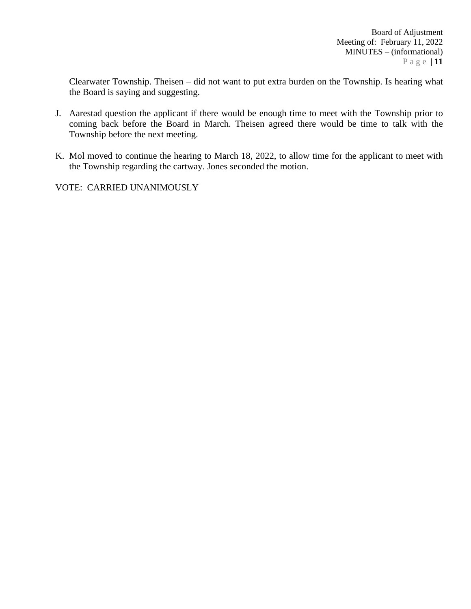Clearwater Township. Theisen – did not want to put extra burden on the Township. Is hearing what the Board is saying and suggesting.

- J. Aarestad question the applicant if there would be enough time to meet with the Township prior to coming back before the Board in March. Theisen agreed there would be time to talk with the Township before the next meeting.
- K. Mol moved to continue the hearing to March 18, 2022, to allow time for the applicant to meet with the Township regarding the cartway. Jones seconded the motion.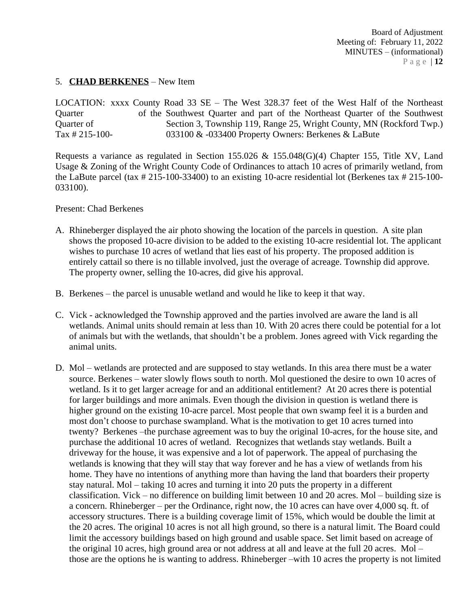## 5. **CHAD BERKENES** – New Item

LOCATION: xxxx County Road 33 SE – The West 328.37 feet of the West Half of the Northeast Quarter of the Southwest Quarter and part of the Northeast Quarter of the Southwest Quarter of Section 3, Township 119, Range 25, Wright County, MN (Rockford Twp.) Tax # 215-100- 033100 & -033400 Property Owners: Berkenes & LaBute

Requests a variance as regulated in Section 155.026 & 155.048(G)(4) Chapter 155, Title XV, Land Usage & Zoning of the Wright County Code of Ordinances to attach 10 acres of primarily wetland, from the LaBute parcel (tax # 215-100-33400) to an existing 10-acre residential lot (Berkenes tax # 215-100- 033100).

Present: Chad Berkenes

- A. Rhineberger displayed the air photo showing the location of the parcels in question. A site plan shows the proposed 10-acre division to be added to the existing 10-acre residential lot. The applicant wishes to purchase 10 acres of wetland that lies east of his property. The proposed addition is entirely cattail so there is no tillable involved, just the overage of acreage. Township did approve. The property owner, selling the 10-acres, did give his approval.
- B. Berkenes the parcel is unusable wetland and would he like to keep it that way.
- C. Vick acknowledged the Township approved and the parties involved are aware the land is all wetlands. Animal units should remain at less than 10. With 20 acres there could be potential for a lot of animals but with the wetlands, that shouldn't be a problem. Jones agreed with Vick regarding the animal units.
- D. Mol wetlands are protected and are supposed to stay wetlands. In this area there must be a water source. Berkenes – water slowly flows south to north. Mol questioned the desire to own 10 acres of wetland. Is it to get larger acreage for and an additional entitlement? At 20 acres there is potential for larger buildings and more animals. Even though the division in question is wetland there is higher ground on the existing 10-acre parcel. Most people that own swamp feel it is a burden and most don't choose to purchase swampland. What is the motivation to get 10 acres turned into twenty? Berkenes –the purchase agreement was to buy the original 10-acres, for the house site, and purchase the additional 10 acres of wetland. Recognizes that wetlands stay wetlands. Built a driveway for the house, it was expensive and a lot of paperwork. The appeal of purchasing the wetlands is knowing that they will stay that way forever and he has a view of wetlands from his home. They have no intentions of anything more than having the land that boarders their property stay natural. Mol – taking 10 acres and turning it into 20 puts the property in a different classification. Vick – no difference on building limit between 10 and 20 acres. Mol – building size is a concern. Rhineberger – per the Ordinance, right now, the 10 acres can have over 4,000 sq. ft. of accessory structures. There is a building coverage limit of 15%, which would be double the limit at the 20 acres. The original 10 acres is not all high ground, so there is a natural limit. The Board could limit the accessory buildings based on high ground and usable space. Set limit based on acreage of the original 10 acres, high ground area or not address at all and leave at the full 20 acres. Mol – those are the options he is wanting to address. Rhineberger –with 10 acres the property is not limited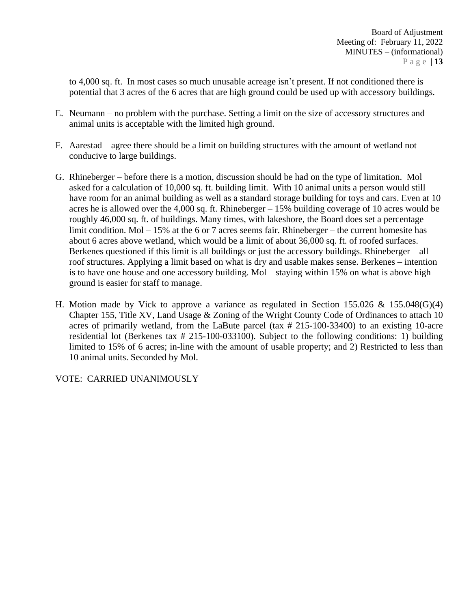to 4,000 sq. ft. In most cases so much unusable acreage isn't present. If not conditioned there is potential that 3 acres of the 6 acres that are high ground could be used up with accessory buildings.

- E. Neumann no problem with the purchase. Setting a limit on the size of accessory structures and animal units is acceptable with the limited high ground.
- F. Aarestad agree there should be a limit on building structures with the amount of wetland not conducive to large buildings.
- G. Rhineberger before there is a motion, discussion should be had on the type of limitation. Mol asked for a calculation of 10,000 sq. ft. building limit. With 10 animal units a person would still have room for an animal building as well as a standard storage building for toys and cars. Even at 10 acres he is allowed over the  $4,000$  sq. ft. Rhineberger  $-15%$  building coverage of 10 acres would be roughly 46,000 sq. ft. of buildings. Many times, with lakeshore, the Board does set a percentage limit condition. Mol – 15% at the 6 or 7 acres seems fair. Rhineberger – the current homesite has about 6 acres above wetland, which would be a limit of about 36,000 sq. ft. of roofed surfaces. Berkenes questioned if this limit is all buildings or just the accessory buildings. Rhineberger – all roof structures. Applying a limit based on what is dry and usable makes sense. Berkenes – intention is to have one house and one accessory building. Mol – staying within 15% on what is above high ground is easier for staff to manage.
- H. Motion made by Vick to approve a variance as regulated in Section 155.026 & 155.048(G)(4) Chapter 155, Title XV, Land Usage & Zoning of the Wright County Code of Ordinances to attach 10 acres of primarily wetland, from the LaBute parcel (tax # 215-100-33400) to an existing 10-acre residential lot (Berkenes tax # 215-100-033100). Subject to the following conditions: 1) building limited to 15% of 6 acres; in-line with the amount of usable property; and 2) Restricted to less than 10 animal units. Seconded by Mol.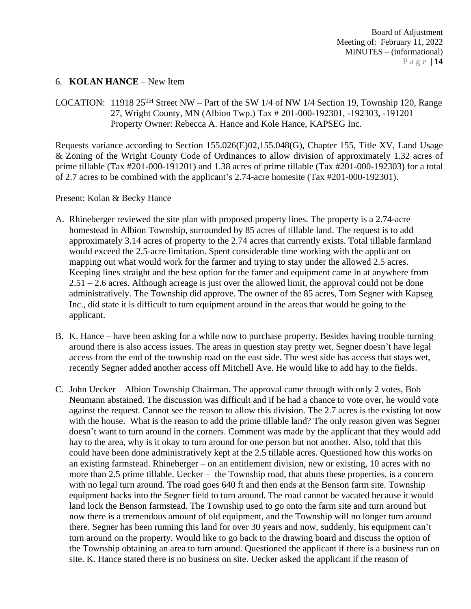#### 6. **KOLAN HANCE** – New Item

LOCATION: 11918 25TH Street NW – Part of the SW 1/4 of NW 1/4 Section 19, Township 120, Range 27, Wright County, MN (Albion Twp.) Tax # 201-000-192301, -192303, -191201 Property Owner: Rebecca A. Hance and Kole Hance, KAPSEG Inc.

Requests variance according to Section 155.026(E)02,155.048(G), Chapter 155, Title XV, Land Usage & Zoning of the Wright County Code of Ordinances to allow division of approximately 1.32 acres of prime tillable (Tax #201-000-191201) and 1.38 acres of prime tillable (Tax #201-000-192303) for a total of 2.7 acres to be combined with the applicant's 2.74-acre homesite (Tax #201-000-192301).

Present: Kolan & Becky Hance

- A. Rhineberger reviewed the site plan with proposed property lines. The property is a 2.74-acre homestead in Albion Township, surrounded by 85 acres of tillable land. The request is to add approximately 3.14 acres of property to the 2.74 acres that currently exists. Total tillable farmland would exceed the 2.5-acre limitation. Spent considerable time working with the applicant on mapping out what would work for the farmer and trying to stay under the allowed 2.5 acres. Keeping lines straight and the best option for the famer and equipment came in at anywhere from 2.51 – 2.6 acres. Although acreage is just over the allowed limit, the approval could not be done administratively. The Township did approve. The owner of the 85 acres, Tom Segner with Kapseg Inc., did state it is difficult to turn equipment around in the areas that would be going to the applicant.
- B. K. Hance have been asking for a while now to purchase property. Besides having trouble turning around there is also access issues. The areas in question stay pretty wet. Segner doesn't have legal access from the end of the township road on the east side. The west side has access that stays wet, recently Segner added another access off Mitchell Ave. He would like to add hay to the fields.
- C. John Uecker Albion Township Chairman. The approval came through with only 2 votes, Bob Neumann abstained. The discussion was difficult and if he had a chance to vote over, he would vote against the request. Cannot see the reason to allow this division. The 2.7 acres is the existing lot now with the house. What is the reason to add the prime tillable land? The only reason given was Segner doesn't want to turn around in the corners. Comment was made by the applicant that they would add hay to the area, why is it okay to turn around for one person but not another. Also, told that this could have been done administratively kept at the 2.5 tillable acres. Questioned how this works on an existing farmstead. Rhineberger – on an entitlement division, new or existing, 10 acres with no more than 2.5 prime tillable. Uecker – the Township road, that abuts these properties, is a concern with no legal turn around. The road goes 640 ft and then ends at the Benson farm site. Township equipment backs into the Segner field to turn around. The road cannot be vacated because it would land lock the Benson farmstead. The Township used to go onto the farm site and turn around but now there is a tremendous amount of old equipment, and the Township will no longer turn around there. Segner has been running this land for over 30 years and now, suddenly, his equipment can't turn around on the property. Would like to go back to the drawing board and discuss the option of the Township obtaining an area to turn around. Questioned the applicant if there is a business run on site. K. Hance stated there is no business on site. Uecker asked the applicant if the reason of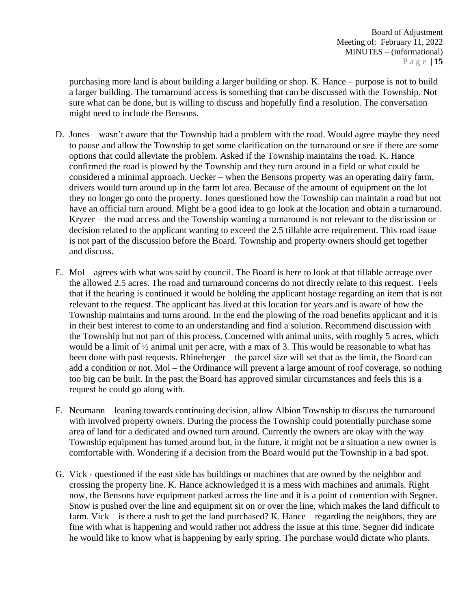purchasing more land is about building a larger building or shop. K. Hance – purpose is not to build a larger building. The turnaround access is something that can be discussed with the Township. Not sure what can be done, but is willing to discuss and hopefully find a resolution. The conversation might need to include the Bensons.

- D. Jones wasn't aware that the Township had a problem with the road. Would agree maybe they need to pause and allow the Township to get some clarification on the turnaround or see if there are some options that could alleviate the problem. Asked if the Township maintains the road. K. Hance confirmed the road is plowed by the Township and they turn around in a field or what could be considered a minimal approach. Uecker – when the Bensons property was an operating dairy farm, drivers would turn around up in the farm lot area. Because of the amount of equipment on the lot they no longer go onto the property. Jones questioned how the Township can maintain a road but not have an official turn around. Might be a good idea to go look at the location and obtain a turnaround. Kryzer – the road access and the Township wanting a turnaround is not relevant to the discission or decision related to the applicant wanting to exceed the 2.5 tillable acre requirement. This road issue is not part of the discussion before the Board. Township and property owners should get together and discuss.
- E. Mol agrees with what was said by council. The Board is here to look at that tillable acreage over the allowed 2.5 acres. The road and turnaround concerns do not directly relate to this request. Feels that if the hearing is continued it would be holding the applicant hostage regarding an item that is not relevant to the request. The applicant has lived at this location for years and is aware of how the Township maintains and turns around. In the end the plowing of the road benefits applicant and it is in their best interest to come to an understanding and find a solution. Recommend discussion with the Township but not part of this process. Concerned with animal units, with roughly 5 acres, which would be a limit of  $\frac{1}{2}$  animal unit per acre, with a max of 3. This would be reasonable to what has been done with past requests. Rhineberger – the parcel size will set that as the limit, the Board can add a condition or not. Mol – the Ordinance will prevent a large amount of roof coverage, so nothing too big can be built. In the past the Board has approved similar circumstances and feels this is a request he could go along with.
- F. Neumann leaning towards continuing decision, allow Albion Township to discuss the turnaround with involved property owners. During the process the Township could potentially purchase some area of land for a dedicated and owned turn around. Currently the owners are okay with the way Township equipment has turned around but, in the future, it might not be a situation a new owner is comfortable with. Wondering if a decision from the Board would put the Township in a bad spot.
- G. Vick questioned if the east side has buildings or machines that are owned by the neighbor and crossing the property line. K. Hance acknowledged it is a mess with machines and animals. Right now, the Bensons have equipment parked across the line and it is a point of contention with Segner. Snow is pushed over the line and equipment sit on or over the line, which makes the land difficult to farm. Vick – is there a rush to get the land purchased? K. Hance – regarding the neighbors, they are fine with what is happening and would rather not address the issue at this time. Segner did indicate he would like to know what is happening by early spring. The purchase would dictate who plants.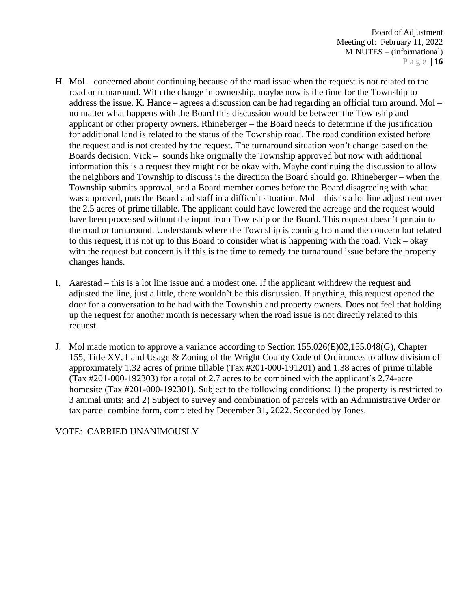Board of Adjustment Meeting of: February 11, 2022 MINUTES – (informational) P a g e | **16**

- H. Mol concerned about continuing because of the road issue when the request is not related to the road or turnaround. With the change in ownership, maybe now is the time for the Township to address the issue. K. Hance – agrees a discussion can be had regarding an official turn around. Mol – no matter what happens with the Board this discussion would be between the Township and applicant or other property owners. Rhineberger – the Board needs to determine if the justification for additional land is related to the status of the Township road. The road condition existed before the request and is not created by the request. The turnaround situation won't change based on the Boards decision. Vick – sounds like originally the Township approved but now with additional information this is a request they might not be okay with. Maybe continuing the discussion to allow the neighbors and Township to discuss is the direction the Board should go. Rhineberger – when the Township submits approval, and a Board member comes before the Board disagreeing with what was approved, puts the Board and staff in a difficult situation. Mol – this is a lot line adjustment over the 2.5 acres of prime tillable. The applicant could have lowered the acreage and the request would have been processed without the input from Township or the Board. This request doesn't pertain to the road or turnaround. Understands where the Township is coming from and the concern but related to this request, it is not up to this Board to consider what is happening with the road. Vick – okay with the request but concern is if this is the time to remedy the turnaround issue before the property changes hands.
- I. Aarestad this is a lot line issue and a modest one. If the applicant withdrew the request and adjusted the line, just a little, there wouldn't be this discussion. If anything, this request opened the door for a conversation to be had with the Township and property owners. Does not feel that holding up the request for another month is necessary when the road issue is not directly related to this request.
- J. Mol made motion to approve a variance according to Section 155.026(E)02,155.048(G), Chapter 155, Title XV, Land Usage & Zoning of the Wright County Code of Ordinances to allow division of approximately 1.32 acres of prime tillable (Tax #201-000-191201) and 1.38 acres of prime tillable (Tax #201-000-192303) for a total of 2.7 acres to be combined with the applicant's 2.74-acre homesite (Tax #201-000-192301). Subject to the following conditions: 1) the property is restricted to 3 animal units; and 2) Subject to survey and combination of parcels with an Administrative Order or tax parcel combine form, completed by December 31, 2022. Seconded by Jones.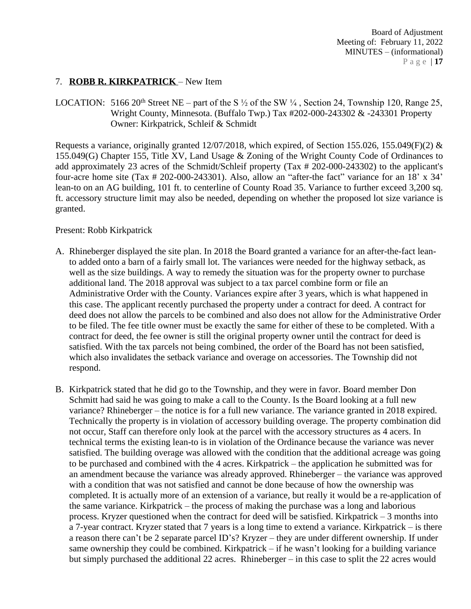Board of Adjustment Meeting of: February 11, 2022 MINUTES – (informational) P a g e | **17**

### 7. **ROBB R. KIRKPATRICK** – New Item

LOCATION: 5166 20<sup>th</sup> Street NE – part of the S  $\frac{1}{2}$  of the SW  $\frac{1}{4}$ , Section 24, Township 120, Range 25, Wright County, Minnesota. (Buffalo Twp.) Tax #202-000-243302 & -243301 Property Owner: Kirkpatrick, Schleif & Schmidt

Requests a variance, originally granted 12/07/2018, which expired, of Section 155.026, 155.049(F)(2) & 155.049(G) Chapter 155, Title XV, Land Usage & Zoning of the Wright County Code of Ordinances to add approximately 23 acres of the Schmidt/Schleif property (Tax # 202-000-243302) to the applicant's four-acre home site (Tax # 202-000-243301). Also, allow an "after-the fact" variance for an 18' x 34' lean-to on an AG building, 101 ft. to centerline of County Road 35. Variance to further exceed 3,200 sq. ft. accessory structure limit may also be needed, depending on whether the proposed lot size variance is granted.

### Present: Robb Kirkpatrick

- A. Rhineberger displayed the site plan. In 2018 the Board granted a variance for an after-the-fact leanto added onto a barn of a fairly small lot. The variances were needed for the highway setback, as well as the size buildings. A way to remedy the situation was for the property owner to purchase additional land. The 2018 approval was subject to a tax parcel combine form or file an Administrative Order with the County. Variances expire after 3 years, which is what happened in this case. The applicant recently purchased the property under a contract for deed. A contract for deed does not allow the parcels to be combined and also does not allow for the Administrative Order to be filed. The fee title owner must be exactly the same for either of these to be completed. With a contract for deed, the fee owner is still the original property owner until the contract for deed is satisfied. With the tax parcels not being combined, the order of the Board has not been satisfied, which also invalidates the setback variance and overage on accessories. The Township did not respond.
- B. Kirkpatrick stated that he did go to the Township, and they were in favor. Board member Don Schmitt had said he was going to make a call to the County. Is the Board looking at a full new variance? Rhineberger – the notice is for a full new variance. The variance granted in 2018 expired. Technically the property is in violation of accessory building overage. The property combination did not occur, Staff can therefore only look at the parcel with the accessory structures as 4 acers. In technical terms the existing lean-to is in violation of the Ordinance because the variance was never satisfied. The building overage was allowed with the condition that the additional acreage was going to be purchased and combined with the 4 acres. Kirkpatrick – the application he submitted was for an amendment because the variance was already approved. Rhineberger – the variance was approved with a condition that was not satisfied and cannot be done because of how the ownership was completed. It is actually more of an extension of a variance, but really it would be a re-application of the same variance. Kirkpatrick – the process of making the purchase was a long and laborious process. Kryzer questioned when the contract for deed will be satisfied. Kirkpatrick – 3 months into a 7-year contract. Kryzer stated that 7 years is a long time to extend a variance. Kirkpatrick – is there a reason there can't be 2 separate parcel ID's? Kryzer – they are under different ownership. If under same ownership they could be combined. Kirkpatrick – if he wasn't looking for a building variance but simply purchased the additional 22 acres. Rhineberger – in this case to split the 22 acres would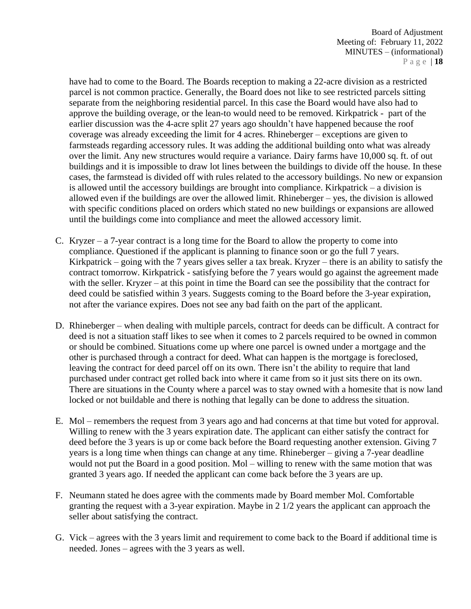have had to come to the Board. The Boards reception to making a 22-acre division as a restricted parcel is not common practice. Generally, the Board does not like to see restricted parcels sitting separate from the neighboring residential parcel. In this case the Board would have also had to approve the building overage, or the lean-to would need to be removed. Kirkpatrick - part of the earlier discussion was the 4-acre split 27 years ago shouldn't have happened because the roof coverage was already exceeding the limit for 4 acres. Rhineberger – exceptions are given to farmsteads regarding accessory rules. It was adding the additional building onto what was already over the limit. Any new structures would require a variance. Dairy farms have 10,000 sq. ft. of out buildings and it is impossible to draw lot lines between the buildings to divide off the house. In these cases, the farmstead is divided off with rules related to the accessory buildings. No new or expansion is allowed until the accessory buildings are brought into compliance. Kirkpatrick – a division is allowed even if the buildings are over the allowed limit. Rhineberger – yes, the division is allowed with specific conditions placed on orders which stated no new buildings or expansions are allowed until the buildings come into compliance and meet the allowed accessory limit.

- C. Kryzer a 7-year contract is a long time for the Board to allow the property to come into compliance. Questioned if the applicant is planning to finance soon or go the full 7 years. Kirkpatrick – going with the 7 years gives seller a tax break. Kryzer – there is an ability to satisfy the contract tomorrow. Kirkpatrick - satisfying before the 7 years would go against the agreement made with the seller. Kryzer – at this point in time the Board can see the possibility that the contract for deed could be satisfied within 3 years. Suggests coming to the Board before the 3-year expiration, not after the variance expires. Does not see any bad faith on the part of the applicant.
- D. Rhineberger when dealing with multiple parcels, contract for deeds can be difficult. A contract for deed is not a situation staff likes to see when it comes to 2 parcels required to be owned in common or should be combined. Situations come up where one parcel is owned under a mortgage and the other is purchased through a contract for deed. What can happen is the mortgage is foreclosed, leaving the contract for deed parcel off on its own. There isn't the ability to require that land purchased under contract get rolled back into where it came from so it just sits there on its own. There are situations in the County where a parcel was to stay owned with a homesite that is now land locked or not buildable and there is nothing that legally can be done to address the situation.
- E. Mol remembers the request from 3 years ago and had concerns at that time but voted for approval. Willing to renew with the 3 years expiration date. The applicant can either satisfy the contract for deed before the 3 years is up or come back before the Board requesting another extension. Giving 7 years is a long time when things can change at any time. Rhineberger – giving a 7-year deadline would not put the Board in a good position. Mol – willing to renew with the same motion that was granted 3 years ago. If needed the applicant can come back before the 3 years are up.
- F. Neumann stated he does agree with the comments made by Board member Mol. Comfortable granting the request with a 3-year expiration. Maybe in 2 1/2 years the applicant can approach the seller about satisfying the contract.
- G. Vick agrees with the 3 years limit and requirement to come back to the Board if additional time is needed. Jones – agrees with the 3 years as well.